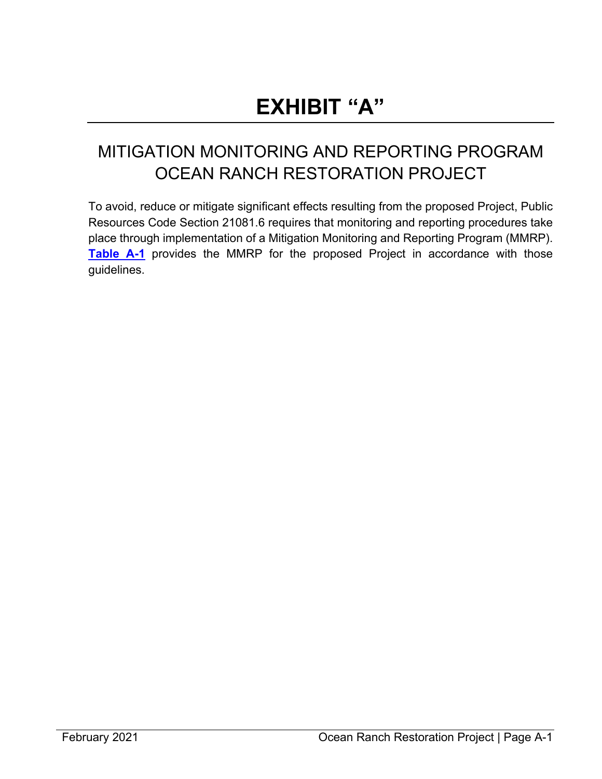# **EXHIBIT "A"**

## MITIGATION MONITORING AND REPORTING PROGRAM OCEAN RANCH RESTORATION PROJECT

To avoid, reduce or mitigate significant effects resulting from the proposed Project, Public Resources Code Section 21081.6 requires that monitoring and reporting procedures take place through implementation of a Mitigation Monitoring and Reporting Program (MMRP). **[Table A-1](#page-1-0)** provides the MMRP for the proposed Project in accordance with those guidelines.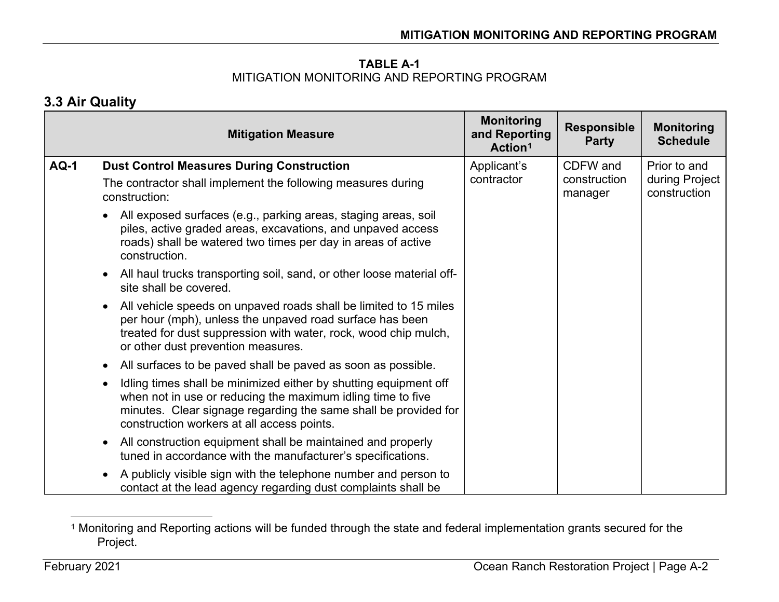### <span id="page-1-1"></span>**TABLE A-1**  MITIGATION MONITORING AND REPORTING PROGRAM

### **3.3 Air Quality**

<span id="page-1-0"></span>

|             | <b>Mitigation Measure</b>                                                                                                                                                                                                                        | <b>Monitoring</b><br>and Reporting<br>Action <sup>1</sup> | <b>Responsible</b><br><b>Party</b> | <b>Monitoring</b><br><b>Schedule</b> |
|-------------|--------------------------------------------------------------------------------------------------------------------------------------------------------------------------------------------------------------------------------------------------|-----------------------------------------------------------|------------------------------------|--------------------------------------|
| <b>AQ-1</b> | <b>Dust Control Measures During Construction</b>                                                                                                                                                                                                 | Applicant's                                               | CDFW and                           | Prior to and                         |
|             | The contractor shall implement the following measures during<br>construction:                                                                                                                                                                    | contractor                                                | construction<br>manager            | during Project<br>construction       |
|             | All exposed surfaces (e.g., parking areas, staging areas, soil<br>piles, active graded areas, excavations, and unpaved access<br>roads) shall be watered two times per day in areas of active<br>construction.                                   |                                                           |                                    |                                      |
|             | All haul trucks transporting soil, sand, or other loose material off-<br>site shall be covered.                                                                                                                                                  |                                                           |                                    |                                      |
|             | All vehicle speeds on unpaved roads shall be limited to 15 miles<br>per hour (mph), unless the unpaved road surface has been<br>treated for dust suppression with water, rock, wood chip mulch,<br>or other dust prevention measures.            |                                                           |                                    |                                      |
|             | All surfaces to be paved shall be paved as soon as possible.<br>$\bullet$                                                                                                                                                                        |                                                           |                                    |                                      |
|             | Idling times shall be minimized either by shutting equipment off<br>when not in use or reducing the maximum idling time to five<br>minutes. Clear signage regarding the same shall be provided for<br>construction workers at all access points. |                                                           |                                    |                                      |
|             | All construction equipment shall be maintained and properly<br>$\bullet$<br>tuned in accordance with the manufacturer's specifications.                                                                                                          |                                                           |                                    |                                      |
|             | A publicly visible sign with the telephone number and person to<br>contact at the lead agency regarding dust complaints shall be                                                                                                                 |                                                           |                                    |                                      |

<sup>1</sup> Monitoring and Reporting actions will be funded through the state and federal implementation grants secured for the Project.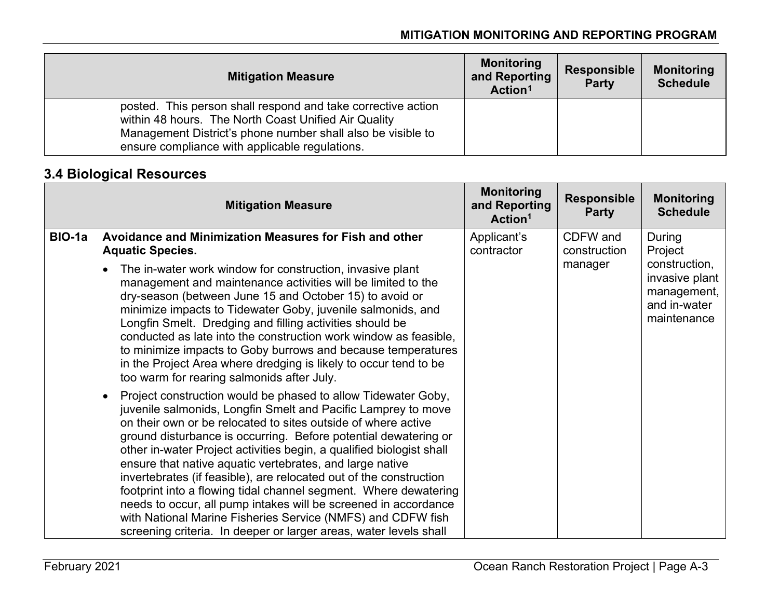| <b>Mitigation Measure</b>                                                                                                                                                                                                             | <b>Monitoring</b><br>and Reporting<br>Action <sup>1</sup> | <b>Responsible</b><br><b>Party</b> | <b>Monitoring</b><br><b>Schedule</b> |
|---------------------------------------------------------------------------------------------------------------------------------------------------------------------------------------------------------------------------------------|-----------------------------------------------------------|------------------------------------|--------------------------------------|
| posted. This person shall respond and take corrective action<br>within 48 hours. The North Coast Unified Air Quality<br>Management District's phone number shall also be visible to<br>ensure compliance with applicable regulations. |                                                           |                                    |                                      |

### **3.4 Biological Resources**

|        | <b>Mitigation Measure</b>                                                                                                                                                                                                                                                                                                                                                                                                                                                                                                                                                                                                                                                                                                                                            | <b>Monitoring</b><br>and Reporting<br>Action <sup>1</sup> | <b>Responsible</b><br><b>Party</b> | <b>Monitoring</b><br><b>Schedule</b> |                                                                               |
|--------|----------------------------------------------------------------------------------------------------------------------------------------------------------------------------------------------------------------------------------------------------------------------------------------------------------------------------------------------------------------------------------------------------------------------------------------------------------------------------------------------------------------------------------------------------------------------------------------------------------------------------------------------------------------------------------------------------------------------------------------------------------------------|-----------------------------------------------------------|------------------------------------|--------------------------------------|-------------------------------------------------------------------------------|
| BIO-1a | Avoidance and Minimization Measures for Fish and other<br><b>Aquatic Species.</b>                                                                                                                                                                                                                                                                                                                                                                                                                                                                                                                                                                                                                                                                                    | Applicant's<br>contractor                                 | CDFW and<br>construction           | During<br>Project                    |                                                                               |
|        | The in-water work window for construction, invasive plant<br>management and maintenance activities will be limited to the<br>dry-season (between June 15 and October 15) to avoid or<br>minimize impacts to Tidewater Goby, juvenile salmonids, and<br>Longfin Smelt. Dredging and filling activities should be<br>conducted as late into the construction work window as feasible,<br>to minimize impacts to Goby burrows and because temperatures<br>in the Project Area where dredging is likely to occur tend to be<br>too warm for rearing salmonids after July.                                                                                                                                                                                                | manager                                                   |                                    |                                      | construction,<br>invasive plant<br>management,<br>and in-water<br>maintenance |
|        | Project construction would be phased to allow Tidewater Goby,<br>$\bullet$<br>juvenile salmonids, Longfin Smelt and Pacific Lamprey to move<br>on their own or be relocated to sites outside of where active<br>ground disturbance is occurring. Before potential dewatering or<br>other in-water Project activities begin, a qualified biologist shall<br>ensure that native aquatic vertebrates, and large native<br>invertebrates (if feasible), are relocated out of the construction<br>footprint into a flowing tidal channel segment. Where dewatering<br>needs to occur, all pump intakes will be screened in accordance<br>with National Marine Fisheries Service (NMFS) and CDFW fish<br>screening criteria. In deeper or larger areas, water levels shall |                                                           |                                    |                                      |                                                                               |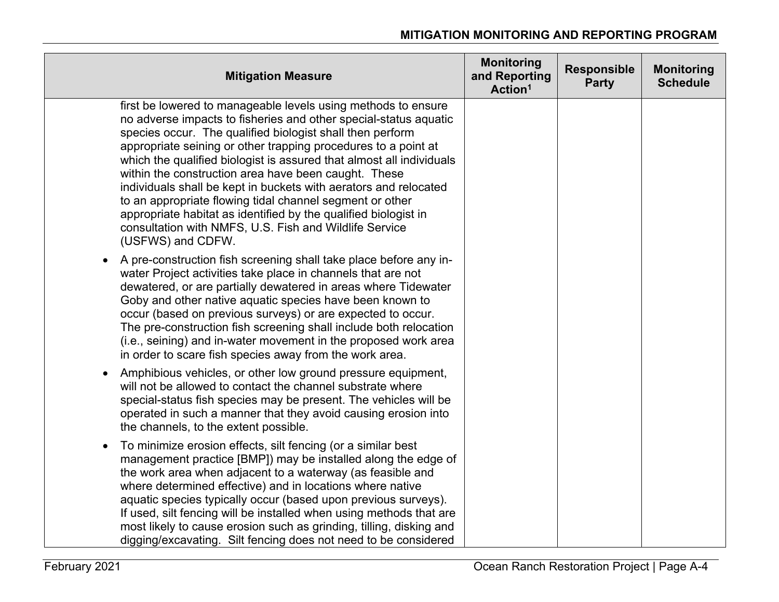| <b>Mitigation Measure</b>                                                                                                                                                                                                                                                                                                                                                                                                                                                                                                                                                                                                                                                          | <b>Monitoring</b><br>and Reporting<br>Action <sup>1</sup> | <b>Responsible</b><br><b>Party</b> | <b>Monitoring</b><br><b>Schedule</b> |
|------------------------------------------------------------------------------------------------------------------------------------------------------------------------------------------------------------------------------------------------------------------------------------------------------------------------------------------------------------------------------------------------------------------------------------------------------------------------------------------------------------------------------------------------------------------------------------------------------------------------------------------------------------------------------------|-----------------------------------------------------------|------------------------------------|--------------------------------------|
| first be lowered to manageable levels using methods to ensure<br>no adverse impacts to fisheries and other special-status aquatic<br>species occur. The qualified biologist shall then perform<br>appropriate seining or other trapping procedures to a point at<br>which the qualified biologist is assured that almost all individuals<br>within the construction area have been caught. These<br>individuals shall be kept in buckets with aerators and relocated<br>to an appropriate flowing tidal channel segment or other<br>appropriate habitat as identified by the qualified biologist in<br>consultation with NMFS, U.S. Fish and Wildlife Service<br>(USFWS) and CDFW. |                                                           |                                    |                                      |
| A pre-construction fish screening shall take place before any in-<br>$\bullet$<br>water Project activities take place in channels that are not<br>dewatered, or are partially dewatered in areas where Tidewater<br>Goby and other native aquatic species have been known to<br>occur (based on previous surveys) or are expected to occur.<br>The pre-construction fish screening shall include both relocation<br>(i.e., seining) and in-water movement in the proposed work area<br>in order to scare fish species away from the work area.                                                                                                                                     |                                                           |                                    |                                      |
| Amphibious vehicles, or other low ground pressure equipment,<br>will not be allowed to contact the channel substrate where<br>special-status fish species may be present. The vehicles will be<br>operated in such a manner that they avoid causing erosion into<br>the channels, to the extent possible.                                                                                                                                                                                                                                                                                                                                                                          |                                                           |                                    |                                      |
| To minimize erosion effects, silt fencing (or a similar best<br>$\bullet$<br>management practice [BMP]) may be installed along the edge of<br>the work area when adjacent to a waterway (as feasible and<br>where determined effective) and in locations where native<br>aquatic species typically occur (based upon previous surveys).<br>If used, silt fencing will be installed when using methods that are<br>most likely to cause erosion such as grinding, tilling, disking and<br>digging/excavating. Silt fencing does not need to be considered                                                                                                                           |                                                           |                                    |                                      |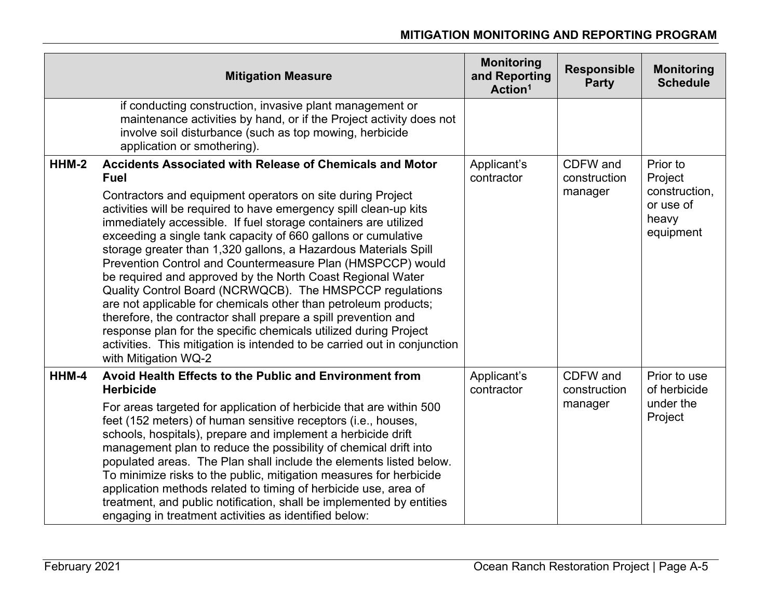|       | <b>Mitigation Measure</b>                                                                                                                                                                                                                                                                                                                                                                                                                                                                                                                                                                                                                                                                                                                                                                                                                                                                                                     | <b>Monitoring</b><br>and Reporting<br>Action <sup>1</sup> | <b>Responsible</b><br><b>Party</b>  | <b>Monitoring</b><br><b>Schedule</b>                                    |
|-------|-------------------------------------------------------------------------------------------------------------------------------------------------------------------------------------------------------------------------------------------------------------------------------------------------------------------------------------------------------------------------------------------------------------------------------------------------------------------------------------------------------------------------------------------------------------------------------------------------------------------------------------------------------------------------------------------------------------------------------------------------------------------------------------------------------------------------------------------------------------------------------------------------------------------------------|-----------------------------------------------------------|-------------------------------------|-------------------------------------------------------------------------|
|       | if conducting construction, invasive plant management or<br>maintenance activities by hand, or if the Project activity does not<br>involve soil disturbance (such as top mowing, herbicide<br>application or smothering).                                                                                                                                                                                                                                                                                                                                                                                                                                                                                                                                                                                                                                                                                                     |                                                           |                                     |                                                                         |
| HHM-2 | <b>Accidents Associated with Release of Chemicals and Motor</b><br><b>Fuel</b><br>Contractors and equipment operators on site during Project<br>activities will be required to have emergency spill clean-up kits<br>immediately accessible. If fuel storage containers are utilized<br>exceeding a single tank capacity of 660 gallons or cumulative<br>storage greater than 1,320 gallons, a Hazardous Materials Spill<br>Prevention Control and Countermeasure Plan (HMSPCCP) would<br>be required and approved by the North Coast Regional Water<br>Quality Control Board (NCRWQCB). The HMSPCCP regulations<br>are not applicable for chemicals other than petroleum products;<br>therefore, the contractor shall prepare a spill prevention and<br>response plan for the specific chemicals utilized during Project<br>activities. This mitigation is intended to be carried out in conjunction<br>with Mitigation WQ-2 | Applicant's<br>contractor                                 | CDFW and<br>construction<br>manager | Prior to<br>Project<br>construction,<br>or use of<br>heavy<br>equipment |
| HHM-4 | Avoid Health Effects to the Public and Environment from<br><b>Herbicide</b><br>For areas targeted for application of herbicide that are within 500<br>feet (152 meters) of human sensitive receptors (i.e., houses,<br>schools, hospitals), prepare and implement a herbicide drift<br>management plan to reduce the possibility of chemical drift into<br>populated areas. The Plan shall include the elements listed below.<br>To minimize risks to the public, mitigation measures for herbicide<br>application methods related to timing of herbicide use, area of<br>treatment, and public notification, shall be implemented by entities<br>engaging in treatment activities as identified below:                                                                                                                                                                                                                       | Applicant's<br>contractor                                 | CDFW and<br>construction<br>manager | Prior to use<br>of herbicide<br>under the<br>Project                    |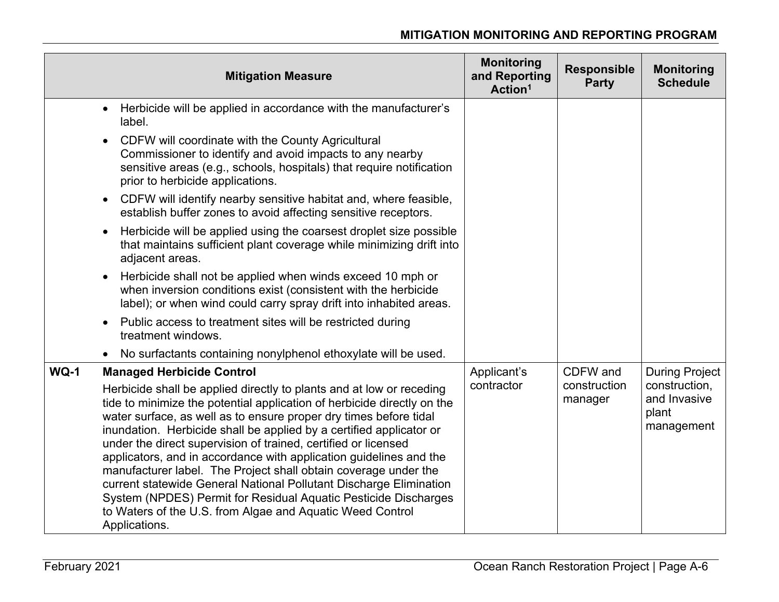|             | <b>Mitigation Measure</b>                                                                                                                                                                                                                                                                                                                                                                                                                                                                                                                                                                                                                                                                                                                                         | <b>Monitoring</b><br>and Reporting<br>Action <sup>1</sup> | <b>Responsible</b><br><b>Party</b>  | <b>Monitoring</b><br><b>Schedule</b>                                          |
|-------------|-------------------------------------------------------------------------------------------------------------------------------------------------------------------------------------------------------------------------------------------------------------------------------------------------------------------------------------------------------------------------------------------------------------------------------------------------------------------------------------------------------------------------------------------------------------------------------------------------------------------------------------------------------------------------------------------------------------------------------------------------------------------|-----------------------------------------------------------|-------------------------------------|-------------------------------------------------------------------------------|
|             | Herbicide will be applied in accordance with the manufacturer's<br>label.                                                                                                                                                                                                                                                                                                                                                                                                                                                                                                                                                                                                                                                                                         |                                                           |                                     |                                                                               |
|             | CDFW will coordinate with the County Agricultural<br>Commissioner to identify and avoid impacts to any nearby<br>sensitive areas (e.g., schools, hospitals) that require notification<br>prior to herbicide applications.                                                                                                                                                                                                                                                                                                                                                                                                                                                                                                                                         |                                                           |                                     |                                                                               |
|             | CDFW will identify nearby sensitive habitat and, where feasible,<br>establish buffer zones to avoid affecting sensitive receptors.                                                                                                                                                                                                                                                                                                                                                                                                                                                                                                                                                                                                                                |                                                           |                                     |                                                                               |
|             | Herbicide will be applied using the coarsest droplet size possible<br>that maintains sufficient plant coverage while minimizing drift into<br>adjacent areas.                                                                                                                                                                                                                                                                                                                                                                                                                                                                                                                                                                                                     |                                                           |                                     |                                                                               |
|             | Herbicide shall not be applied when winds exceed 10 mph or<br>when inversion conditions exist (consistent with the herbicide<br>label); or when wind could carry spray drift into inhabited areas.                                                                                                                                                                                                                                                                                                                                                                                                                                                                                                                                                                |                                                           |                                     |                                                                               |
|             | Public access to treatment sites will be restricted during<br>treatment windows.                                                                                                                                                                                                                                                                                                                                                                                                                                                                                                                                                                                                                                                                                  |                                                           |                                     |                                                                               |
|             | • No surfactants containing nonylphenol ethoxylate will be used.                                                                                                                                                                                                                                                                                                                                                                                                                                                                                                                                                                                                                                                                                                  |                                                           |                                     |                                                                               |
| <b>WQ-1</b> | <b>Managed Herbicide Control</b><br>Herbicide shall be applied directly to plants and at low or receding<br>tide to minimize the potential application of herbicide directly on the<br>water surface, as well as to ensure proper dry times before tidal<br>inundation. Herbicide shall be applied by a certified applicator or<br>under the direct supervision of trained, certified or licensed<br>applicators, and in accordance with application guidelines and the<br>manufacturer label. The Project shall obtain coverage under the<br>current statewide General National Pollutant Discharge Elimination<br>System (NPDES) Permit for Residual Aquatic Pesticide Discharges<br>to Waters of the U.S. from Algae and Aquatic Weed Control<br>Applications. | Applicant's<br>contractor                                 | CDFW and<br>construction<br>manager | <b>During Project</b><br>construction,<br>and Invasive<br>plant<br>management |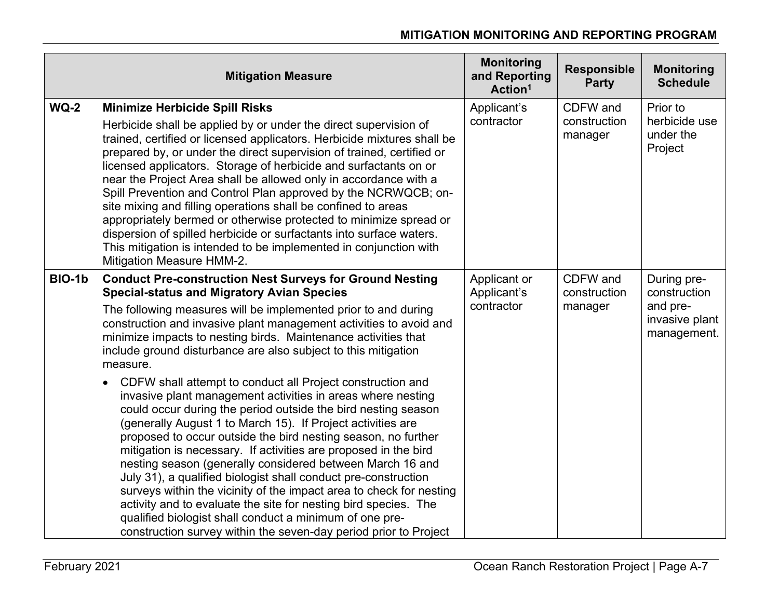|        | <b>Mitigation Measure</b>                                                                                                                                                                                                                                                                                                                                                                                                                                                                                                                                                                                                                                                                                                                                                                                                                                                                                                                                                                                                                                                                                                                                                                                             | <b>Monitoring</b><br>and Reporting<br>Action <sup>1</sup> | <b>Responsible</b><br><b>Party</b>  | <b>Monitoring</b><br><b>Schedule</b>                                     |
|--------|-----------------------------------------------------------------------------------------------------------------------------------------------------------------------------------------------------------------------------------------------------------------------------------------------------------------------------------------------------------------------------------------------------------------------------------------------------------------------------------------------------------------------------------------------------------------------------------------------------------------------------------------------------------------------------------------------------------------------------------------------------------------------------------------------------------------------------------------------------------------------------------------------------------------------------------------------------------------------------------------------------------------------------------------------------------------------------------------------------------------------------------------------------------------------------------------------------------------------|-----------------------------------------------------------|-------------------------------------|--------------------------------------------------------------------------|
| $WQ-2$ | <b>Minimize Herbicide Spill Risks</b><br>Herbicide shall be applied by or under the direct supervision of<br>trained, certified or licensed applicators. Herbicide mixtures shall be<br>prepared by, or under the direct supervision of trained, certified or<br>licensed applicators. Storage of herbicide and surfactants on or<br>near the Project Area shall be allowed only in accordance with a<br>Spill Prevention and Control Plan approved by the NCRWQCB; on-<br>site mixing and filling operations shall be confined to areas<br>appropriately bermed or otherwise protected to minimize spread or<br>dispersion of spilled herbicide or surfactants into surface waters.<br>This mitigation is intended to be implemented in conjunction with<br>Mitigation Measure HMM-2.                                                                                                                                                                                                                                                                                                                                                                                                                                | Applicant's<br>contractor                                 | CDFW and<br>construction<br>manager | Prior to<br>herbicide use<br>under the<br>Project                        |
| BIO-1b | <b>Conduct Pre-construction Nest Surveys for Ground Nesting</b><br><b>Special-status and Migratory Avian Species</b><br>The following measures will be implemented prior to and during<br>construction and invasive plant management activities to avoid and<br>minimize impacts to nesting birds. Maintenance activities that<br>include ground disturbance are also subject to this mitigation<br>measure.<br>CDFW shall attempt to conduct all Project construction and<br>invasive plant management activities in areas where nesting<br>could occur during the period outside the bird nesting season<br>(generally August 1 to March 15). If Project activities are<br>proposed to occur outside the bird nesting season, no further<br>mitigation is necessary. If activities are proposed in the bird<br>nesting season (generally considered between March 16 and<br>July 31), a qualified biologist shall conduct pre-construction<br>surveys within the vicinity of the impact area to check for nesting<br>activity and to evaluate the site for nesting bird species. The<br>qualified biologist shall conduct a minimum of one pre-<br>construction survey within the seven-day period prior to Project | Applicant or<br>Applicant's<br>contractor                 | CDFW and<br>construction<br>manager | During pre-<br>construction<br>and pre-<br>invasive plant<br>management. |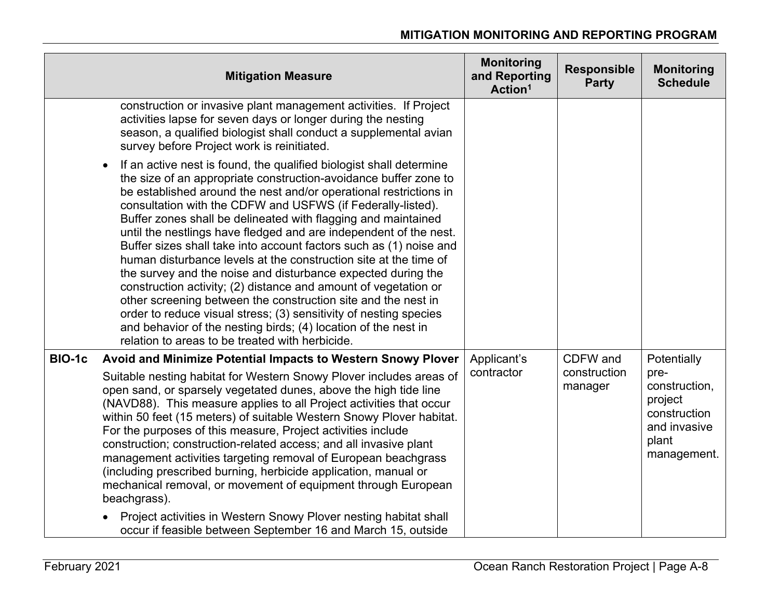|               | <b>Mitigation Measure</b>                                                                                                                                                                                                                                                                                                                                                                                                                                                                                                                                                                                                                                                                                                                                                                                                                                                                                                                                 | <b>Monitoring</b><br>and Reporting<br>Action <sup>1</sup> | <b>Responsible</b><br><b>Party</b> | <b>Monitoring</b><br><b>Schedule</b>                                                     |
|---------------|-----------------------------------------------------------------------------------------------------------------------------------------------------------------------------------------------------------------------------------------------------------------------------------------------------------------------------------------------------------------------------------------------------------------------------------------------------------------------------------------------------------------------------------------------------------------------------------------------------------------------------------------------------------------------------------------------------------------------------------------------------------------------------------------------------------------------------------------------------------------------------------------------------------------------------------------------------------|-----------------------------------------------------------|------------------------------------|------------------------------------------------------------------------------------------|
|               | construction or invasive plant management activities. If Project<br>activities lapse for seven days or longer during the nesting<br>season, a qualified biologist shall conduct a supplemental avian<br>survey before Project work is reinitiated.                                                                                                                                                                                                                                                                                                                                                                                                                                                                                                                                                                                                                                                                                                        |                                                           |                                    |                                                                                          |
|               | If an active nest is found, the qualified biologist shall determine<br>the size of an appropriate construction-avoidance buffer zone to<br>be established around the nest and/or operational restrictions in<br>consultation with the CDFW and USFWS (if Federally-listed).<br>Buffer zones shall be delineated with flagging and maintained<br>until the nestlings have fledged and are independent of the nest.<br>Buffer sizes shall take into account factors such as (1) noise and<br>human disturbance levels at the construction site at the time of<br>the survey and the noise and disturbance expected during the<br>construction activity; (2) distance and amount of vegetation or<br>other screening between the construction site and the nest in<br>order to reduce visual stress; (3) sensitivity of nesting species<br>and behavior of the nesting birds; (4) location of the nest in<br>relation to areas to be treated with herbicide. |                                                           |                                    |                                                                                          |
| <b>BIO-1c</b> | Avoid and Minimize Potential Impacts to Western Snowy Plover                                                                                                                                                                                                                                                                                                                                                                                                                                                                                                                                                                                                                                                                                                                                                                                                                                                                                              | Applicant's                                               | CDFW and                           | Potentially                                                                              |
|               | Suitable nesting habitat for Western Snowy Plover includes areas of<br>open sand, or sparsely vegetated dunes, above the high tide line<br>(NAVD88). This measure applies to all Project activities that occur<br>within 50 feet (15 meters) of suitable Western Snowy Plover habitat.<br>For the purposes of this measure, Project activities include<br>construction; construction-related access; and all invasive plant<br>management activities targeting removal of European beachgrass<br>(including prescribed burning, herbicide application, manual or<br>mechanical removal, or movement of equipment through European<br>beachgrass).                                                                                                                                                                                                                                                                                                         | contractor                                                | construction<br>manager            | pre-<br>construction,<br>project<br>construction<br>and invasive<br>plant<br>management. |
|               | Project activities in Western Snowy Plover nesting habitat shall<br>occur if feasible between September 16 and March 15, outside                                                                                                                                                                                                                                                                                                                                                                                                                                                                                                                                                                                                                                                                                                                                                                                                                          |                                                           |                                    |                                                                                          |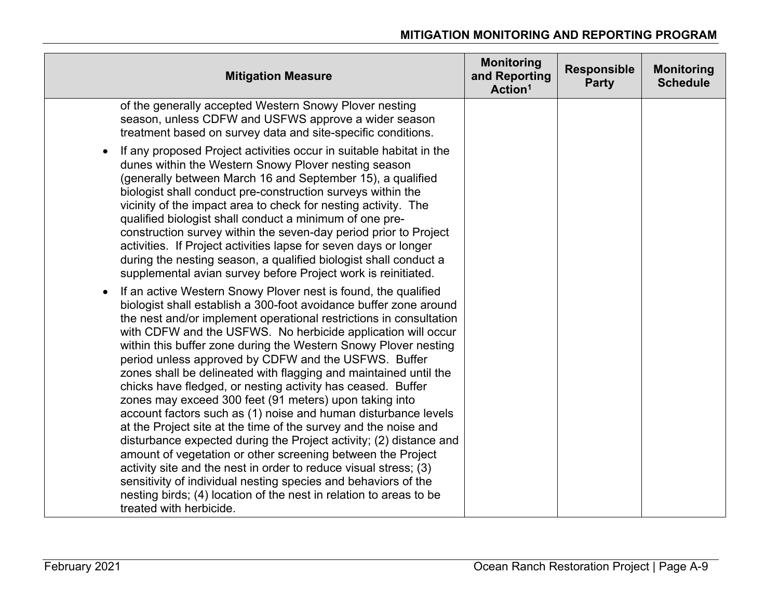| <b>Mitigation Measure</b>                                                                                                                                                                                                                                                                                                                                                                                                                                                                                                                                                                                                                                                                                                                                                                                                                                                                                                                                                                                                                                                                                                       | <b>Monitoring</b><br>and Reporting<br>Action <sup>1</sup> | <b>Responsible</b><br><b>Party</b> | <b>Monitoring</b><br><b>Schedule</b> |
|---------------------------------------------------------------------------------------------------------------------------------------------------------------------------------------------------------------------------------------------------------------------------------------------------------------------------------------------------------------------------------------------------------------------------------------------------------------------------------------------------------------------------------------------------------------------------------------------------------------------------------------------------------------------------------------------------------------------------------------------------------------------------------------------------------------------------------------------------------------------------------------------------------------------------------------------------------------------------------------------------------------------------------------------------------------------------------------------------------------------------------|-----------------------------------------------------------|------------------------------------|--------------------------------------|
| of the generally accepted Western Snowy Plover nesting<br>season, unless CDFW and USFWS approve a wider season<br>treatment based on survey data and site-specific conditions.                                                                                                                                                                                                                                                                                                                                                                                                                                                                                                                                                                                                                                                                                                                                                                                                                                                                                                                                                  |                                                           |                                    |                                      |
| If any proposed Project activities occur in suitable habitat in the<br>$\bullet$<br>dunes within the Western Snowy Plover nesting season<br>(generally between March 16 and September 15), a qualified<br>biologist shall conduct pre-construction surveys within the<br>vicinity of the impact area to check for nesting activity. The<br>qualified biologist shall conduct a minimum of one pre-<br>construction survey within the seven-day period prior to Project<br>activities. If Project activities lapse for seven days or longer<br>during the nesting season, a qualified biologist shall conduct a<br>supplemental avian survey before Project work is reinitiated.                                                                                                                                                                                                                                                                                                                                                                                                                                                 |                                                           |                                    |                                      |
| If an active Western Snowy Plover nest is found, the qualified<br>$\bullet$<br>biologist shall establish a 300-foot avoidance buffer zone around<br>the nest and/or implement operational restrictions in consultation<br>with CDFW and the USFWS. No herbicide application will occur<br>within this buffer zone during the Western Snowy Plover nesting<br>period unless approved by CDFW and the USFWS. Buffer<br>zones shall be delineated with flagging and maintained until the<br>chicks have fledged, or nesting activity has ceased. Buffer<br>zones may exceed 300 feet (91 meters) upon taking into<br>account factors such as (1) noise and human disturbance levels<br>at the Project site at the time of the survey and the noise and<br>disturbance expected during the Project activity; (2) distance and<br>amount of vegetation or other screening between the Project<br>activity site and the nest in order to reduce visual stress; (3)<br>sensitivity of individual nesting species and behaviors of the<br>nesting birds; (4) location of the nest in relation to areas to be<br>treated with herbicide. |                                                           |                                    |                                      |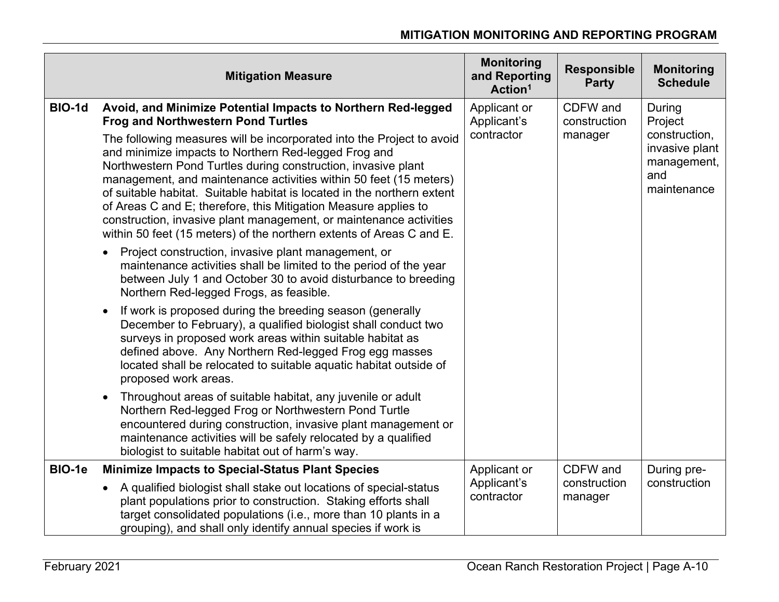|        | <b>Mitigation Measure</b>                                                                                                                                                                                                                                                                                                                                                                                                                                                                                                                                       | <b>Monitoring</b><br>and Reporting<br>Action <sup>1</sup> | <b>Responsible</b><br><b>Party</b> | <b>Monitoring</b><br><b>Schedule</b> |                                                                      |
|--------|-----------------------------------------------------------------------------------------------------------------------------------------------------------------------------------------------------------------------------------------------------------------------------------------------------------------------------------------------------------------------------------------------------------------------------------------------------------------------------------------------------------------------------------------------------------------|-----------------------------------------------------------|------------------------------------|--------------------------------------|----------------------------------------------------------------------|
| BIO-1d | Avoid, and Minimize Potential Impacts to Northern Red-legged<br><b>Frog and Northwestern Pond Turtles</b>                                                                                                                                                                                                                                                                                                                                                                                                                                                       | Applicant or<br>Applicant's                               | CDFW and<br>construction           | During<br>Project                    |                                                                      |
|        | The following measures will be incorporated into the Project to avoid<br>and minimize impacts to Northern Red-legged Frog and<br>Northwestern Pond Turtles during construction, invasive plant<br>management, and maintenance activities within 50 feet (15 meters)<br>of suitable habitat. Suitable habitat is located in the northern extent<br>of Areas C and E; therefore, this Mitigation Measure applies to<br>construction, invasive plant management, or maintenance activities<br>within 50 feet (15 meters) of the northern extents of Areas C and E. | contractor                                                |                                    | manager                              | construction,<br>invasive plant<br>management,<br>and<br>maintenance |
|        | Project construction, invasive plant management, or<br>maintenance activities shall be limited to the period of the year<br>between July 1 and October 30 to avoid disturbance to breeding<br>Northern Red-legged Frogs, as feasible.                                                                                                                                                                                                                                                                                                                           |                                                           |                                    |                                      |                                                                      |
|        | If work is proposed during the breeding season (generally<br>December to February), a qualified biologist shall conduct two<br>surveys in proposed work areas within suitable habitat as<br>defined above. Any Northern Red-legged Frog egg masses<br>located shall be relocated to suitable aquatic habitat outside of<br>proposed work areas.                                                                                                                                                                                                                 |                                                           |                                    |                                      |                                                                      |
|        | Throughout areas of suitable habitat, any juvenile or adult<br>$\bullet$<br>Northern Red-legged Frog or Northwestern Pond Turtle<br>encountered during construction, invasive plant management or<br>maintenance activities will be safely relocated by a qualified<br>biologist to suitable habitat out of harm's way.                                                                                                                                                                                                                                         |                                                           |                                    |                                      |                                                                      |
| BIO-1e | <b>Minimize Impacts to Special-Status Plant Species</b>                                                                                                                                                                                                                                                                                                                                                                                                                                                                                                         | Applicant or                                              | CDFW and                           | During pre-                          |                                                                      |
|        | A qualified biologist shall stake out locations of special-status<br>plant populations prior to construction. Staking efforts shall<br>target consolidated populations (i.e., more than 10 plants in a<br>grouping), and shall only identify annual species if work is                                                                                                                                                                                                                                                                                          | Applicant's<br>contractor                                 | construction<br>manager            | construction                         |                                                                      |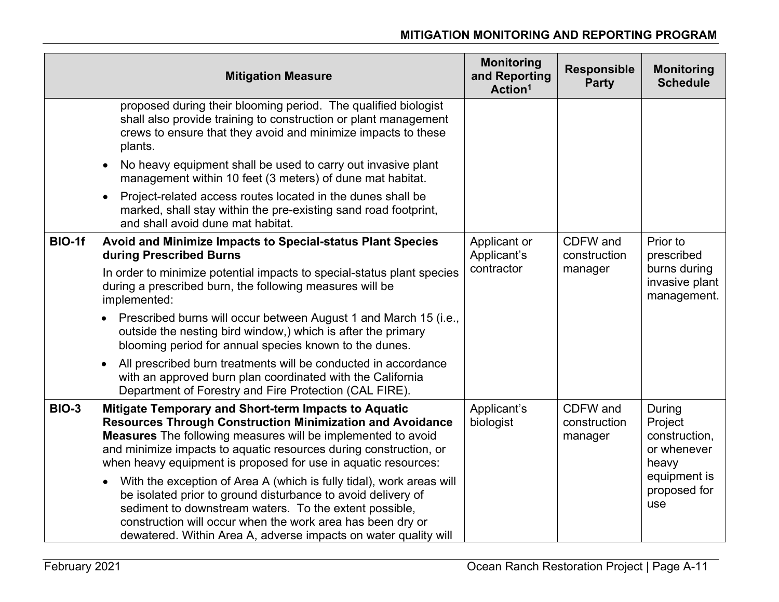|              | <b>Mitigation Measure</b>                                                                                                                                                                                                                                                                                                                                                                                                                                                                                                                                                                                                                                                 | <b>Monitoring</b><br>and Reporting<br>Action <sup>1</sup> | <b>Responsible</b><br><b>Party</b>  | <b>Monitoring</b><br><b>Schedule</b>                                                              |
|--------------|---------------------------------------------------------------------------------------------------------------------------------------------------------------------------------------------------------------------------------------------------------------------------------------------------------------------------------------------------------------------------------------------------------------------------------------------------------------------------------------------------------------------------------------------------------------------------------------------------------------------------------------------------------------------------|-----------------------------------------------------------|-------------------------------------|---------------------------------------------------------------------------------------------------|
|              | proposed during their blooming period. The qualified biologist<br>shall also provide training to construction or plant management<br>crews to ensure that they avoid and minimize impacts to these<br>plants.                                                                                                                                                                                                                                                                                                                                                                                                                                                             |                                                           |                                     |                                                                                                   |
|              | No heavy equipment shall be used to carry out invasive plant<br>management within 10 feet (3 meters) of dune mat habitat.                                                                                                                                                                                                                                                                                                                                                                                                                                                                                                                                                 |                                                           |                                     |                                                                                                   |
|              | Project-related access routes located in the dunes shall be<br>marked, shall stay within the pre-existing sand road footprint,<br>and shall avoid dune mat habitat.                                                                                                                                                                                                                                                                                                                                                                                                                                                                                                       |                                                           |                                     |                                                                                                   |
| BIO-1f       | Avoid and Minimize Impacts to Special-status Plant Species<br>during Prescribed Burns                                                                                                                                                                                                                                                                                                                                                                                                                                                                                                                                                                                     | Applicant or<br>Applicant's                               | CDFW and<br>construction            | Prior to<br>prescribed                                                                            |
|              | In order to minimize potential impacts to special-status plant species<br>during a prescribed burn, the following measures will be<br>implemented:                                                                                                                                                                                                                                                                                                                                                                                                                                                                                                                        | contractor                                                | manager                             | burns during<br>invasive plant<br>management.                                                     |
|              | Prescribed burns will occur between August 1 and March 15 (i.e.,<br>outside the nesting bird window,) which is after the primary<br>blooming period for annual species known to the dunes.                                                                                                                                                                                                                                                                                                                                                                                                                                                                                |                                                           |                                     |                                                                                                   |
|              | All prescribed burn treatments will be conducted in accordance<br>with an approved burn plan coordinated with the California<br>Department of Forestry and Fire Protection (CAL FIRE).                                                                                                                                                                                                                                                                                                                                                                                                                                                                                    |                                                           |                                     |                                                                                                   |
| <b>BIO-3</b> | Mitigate Temporary and Short-term Impacts to Aquatic<br><b>Resources Through Construction Minimization and Avoidance</b><br><b>Measures</b> The following measures will be implemented to avoid<br>and minimize impacts to aquatic resources during construction, or<br>when heavy equipment is proposed for use in aquatic resources:<br>With the exception of Area A (which is fully tidal), work areas will<br>be isolated prior to ground disturbance to avoid delivery of<br>sediment to downstream waters. To the extent possible,<br>construction will occur when the work area has been dry or<br>dewatered. Within Area A, adverse impacts on water quality will | Applicant's<br>biologist                                  | CDFW and<br>construction<br>manager | During<br>Project<br>construction,<br>or whenever<br>heavy<br>equipment is<br>proposed for<br>use |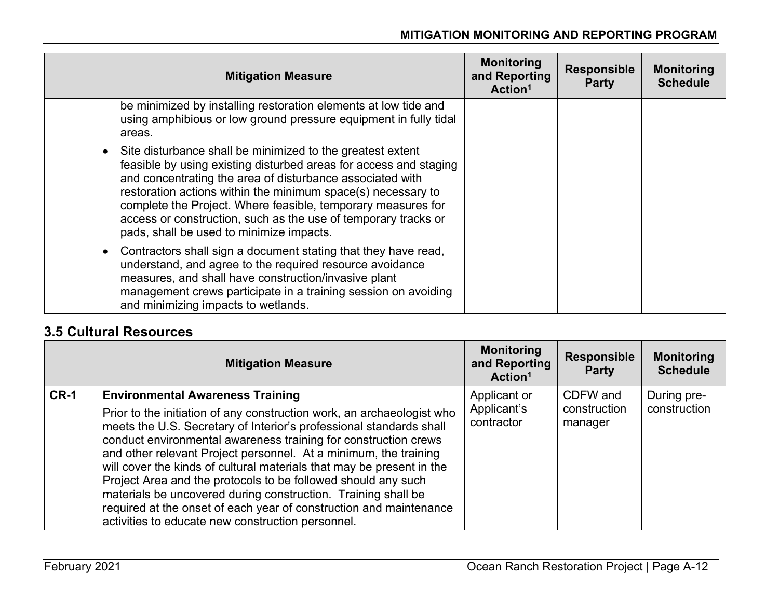| <b>Mitigation Measure</b>                                                                                                                                                                                                                                                                                                                                                                                                                    | <b>Monitoring</b><br>and Reporting<br>Action <sup>1</sup> | <b>Responsible</b><br><b>Party</b> | <b>Monitoring</b><br><b>Schedule</b> |
|----------------------------------------------------------------------------------------------------------------------------------------------------------------------------------------------------------------------------------------------------------------------------------------------------------------------------------------------------------------------------------------------------------------------------------------------|-----------------------------------------------------------|------------------------------------|--------------------------------------|
| be minimized by installing restoration elements at low tide and<br>using amphibious or low ground pressure equipment in fully tidal<br>areas.                                                                                                                                                                                                                                                                                                |                                                           |                                    |                                      |
| • Site disturbance shall be minimized to the greatest extent<br>feasible by using existing disturbed areas for access and staging<br>and concentrating the area of disturbance associated with<br>restoration actions within the minimum space(s) necessary to<br>complete the Project. Where feasible, temporary measures for<br>access or construction, such as the use of temporary tracks or<br>pads, shall be used to minimize impacts. |                                                           |                                    |                                      |
| Contractors shall sign a document stating that they have read,<br>understand, and agree to the required resource avoidance<br>measures, and shall have construction/invasive plant<br>management crews participate in a training session on avoiding<br>and minimizing impacts to wetlands.                                                                                                                                                  |                                                           |                                    |                                      |

### **3.5 Cultural Resources**

|        | <b>Mitigation Measure</b>                                                                                                                                                                                                                                                                                                                                                                                                                                                                                                                                                                                                                                             | <b>Monitoring</b><br>and Reporting<br>Action <sup>1</sup> | <b>Responsible</b><br><b>Party</b>  | <b>Monitoring</b><br><b>Schedule</b> |
|--------|-----------------------------------------------------------------------------------------------------------------------------------------------------------------------------------------------------------------------------------------------------------------------------------------------------------------------------------------------------------------------------------------------------------------------------------------------------------------------------------------------------------------------------------------------------------------------------------------------------------------------------------------------------------------------|-----------------------------------------------------------|-------------------------------------|--------------------------------------|
| $CR-1$ | <b>Environmental Awareness Training</b><br>Prior to the initiation of any construction work, an archaeologist who<br>meets the U.S. Secretary of Interior's professional standards shall<br>conduct environmental awareness training for construction crews<br>and other relevant Project personnel. At a minimum, the training<br>will cover the kinds of cultural materials that may be present in the<br>Project Area and the protocols to be followed should any such<br>materials be uncovered during construction. Training shall be<br>required at the onset of each year of construction and maintenance<br>activities to educate new construction personnel. | Applicant or<br>Applicant's<br>contractor                 | CDFW and<br>construction<br>manager | During pre-<br>construction          |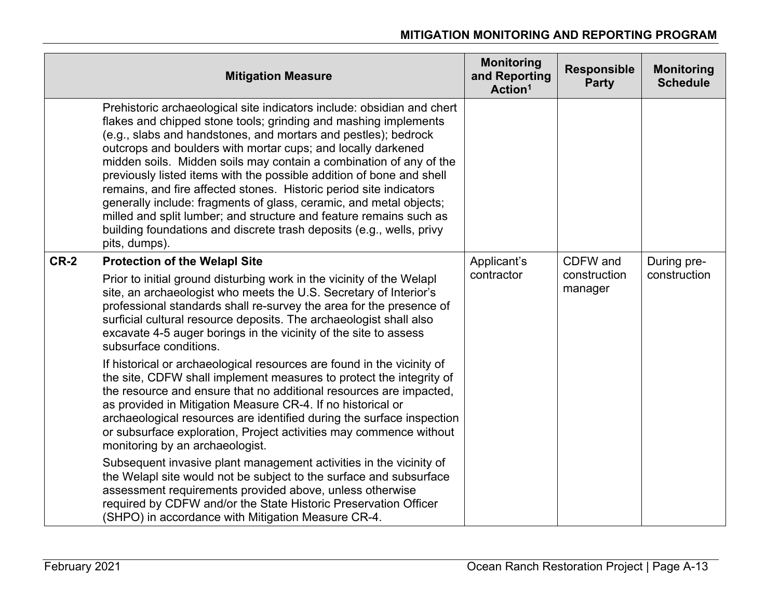|        | <b>Mitigation Measure</b>                                                                                                                                                                                                                                                                                                                                                                                                                                                                                                                                                                                                                                                                                                            | <b>Monitoring</b><br>and Reporting<br>Action <sup>1</sup> | <b>Responsible</b><br><b>Party</b>  | <b>Monitoring</b><br><b>Schedule</b> |
|--------|--------------------------------------------------------------------------------------------------------------------------------------------------------------------------------------------------------------------------------------------------------------------------------------------------------------------------------------------------------------------------------------------------------------------------------------------------------------------------------------------------------------------------------------------------------------------------------------------------------------------------------------------------------------------------------------------------------------------------------------|-----------------------------------------------------------|-------------------------------------|--------------------------------------|
|        | Prehistoric archaeological site indicators include: obsidian and chert<br>flakes and chipped stone tools; grinding and mashing implements<br>(e.g., slabs and handstones, and mortars and pestles); bedrock<br>outcrops and boulders with mortar cups; and locally darkened<br>midden soils. Midden soils may contain a combination of any of the<br>previously listed items with the possible addition of bone and shell<br>remains, and fire affected stones. Historic period site indicators<br>generally include: fragments of glass, ceramic, and metal objects;<br>milled and split lumber; and structure and feature remains such as<br>building foundations and discrete trash deposits (e.g., wells, privy<br>pits, dumps). |                                                           |                                     |                                      |
| $CR-2$ | <b>Protection of the Welapl Site</b><br>Prior to initial ground disturbing work in the vicinity of the Welapl<br>site, an archaeologist who meets the U.S. Secretary of Interior's<br>professional standards shall re-survey the area for the presence of<br>surficial cultural resource deposits. The archaeologist shall also<br>excavate 4-5 auger borings in the vicinity of the site to assess<br>subsurface conditions.                                                                                                                                                                                                                                                                                                        | Applicant's<br>contractor                                 | CDFW and<br>construction<br>manager | During pre-<br>construction          |
|        | If historical or archaeological resources are found in the vicinity of<br>the site, CDFW shall implement measures to protect the integrity of<br>the resource and ensure that no additional resources are impacted,<br>as provided in Mitigation Measure CR-4. If no historical or<br>archaeological resources are identified during the surface inspection<br>or subsurface exploration, Project activities may commence without<br>monitoring by an archaeologist.                                                                                                                                                                                                                                                                 |                                                           |                                     |                                      |
|        | Subsequent invasive plant management activities in the vicinity of<br>the Welapl site would not be subject to the surface and subsurface<br>assessment requirements provided above, unless otherwise<br>required by CDFW and/or the State Historic Preservation Officer<br>(SHPO) in accordance with Mitigation Measure CR-4.                                                                                                                                                                                                                                                                                                                                                                                                        |                                                           |                                     |                                      |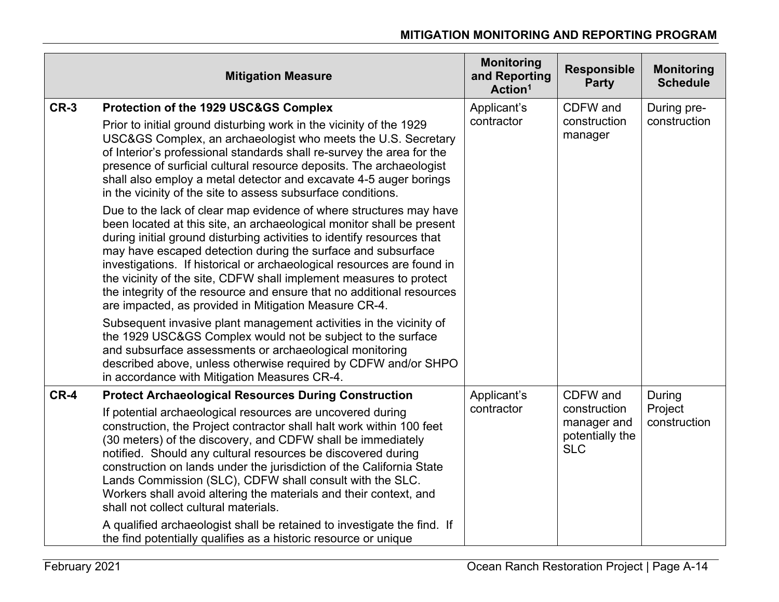|        | <b>Mitigation Measure</b>                                                                                                                                                                                                                                                                                                                                                                                                                                                                                                                                                                                                                                                                                                        | <b>Monitoring</b><br>and Reporting<br>Action <sup>1</sup> | <b>Responsible</b><br><b>Party</b>                                       | <b>Monitoring</b><br><b>Schedule</b> |
|--------|----------------------------------------------------------------------------------------------------------------------------------------------------------------------------------------------------------------------------------------------------------------------------------------------------------------------------------------------------------------------------------------------------------------------------------------------------------------------------------------------------------------------------------------------------------------------------------------------------------------------------------------------------------------------------------------------------------------------------------|-----------------------------------------------------------|--------------------------------------------------------------------------|--------------------------------------|
| $CR-3$ | Protection of the 1929 USC&GS Complex<br>Prior to initial ground disturbing work in the vicinity of the 1929<br>USC&GS Complex, an archaeologist who meets the U.S. Secretary<br>of Interior's professional standards shall re-survey the area for the<br>presence of surficial cultural resource deposits. The archaeologist<br>shall also employ a metal detector and excavate 4-5 auger borings<br>in the vicinity of the site to assess subsurface conditions.                                                                                                                                                                                                                                                               | Applicant's<br>contractor                                 | CDFW and<br>construction<br>manager                                      | During pre-<br>construction          |
|        | Due to the lack of clear map evidence of where structures may have<br>been located at this site, an archaeological monitor shall be present<br>during initial ground disturbing activities to identify resources that<br>may have escaped detection during the surface and subsurface<br>investigations. If historical or archaeological resources are found in<br>the vicinity of the site, CDFW shall implement measures to protect<br>the integrity of the resource and ensure that no additional resources<br>are impacted, as provided in Mitigation Measure CR-4.                                                                                                                                                          |                                                           |                                                                          |                                      |
|        | Subsequent invasive plant management activities in the vicinity of<br>the 1929 USC&GS Complex would not be subject to the surface<br>and subsurface assessments or archaeological monitoring<br>described above, unless otherwise required by CDFW and/or SHPO<br>in accordance with Mitigation Measures CR-4.                                                                                                                                                                                                                                                                                                                                                                                                                   |                                                           |                                                                          |                                      |
| $CR-4$ | <b>Protect Archaeological Resources During Construction</b><br>If potential archaeological resources are uncovered during<br>construction, the Project contractor shall halt work within 100 feet<br>(30 meters) of the discovery, and CDFW shall be immediately<br>notified. Should any cultural resources be discovered during<br>construction on lands under the jurisdiction of the California State<br>Lands Commission (SLC), CDFW shall consult with the SLC.<br>Workers shall avoid altering the materials and their context, and<br>shall not collect cultural materials.<br>A qualified archaeologist shall be retained to investigate the find. If<br>the find potentially qualifies as a historic resource or unique | Applicant's<br>contractor                                 | CDFW and<br>construction<br>manager and<br>potentially the<br><b>SLC</b> | During<br>Project<br>construction    |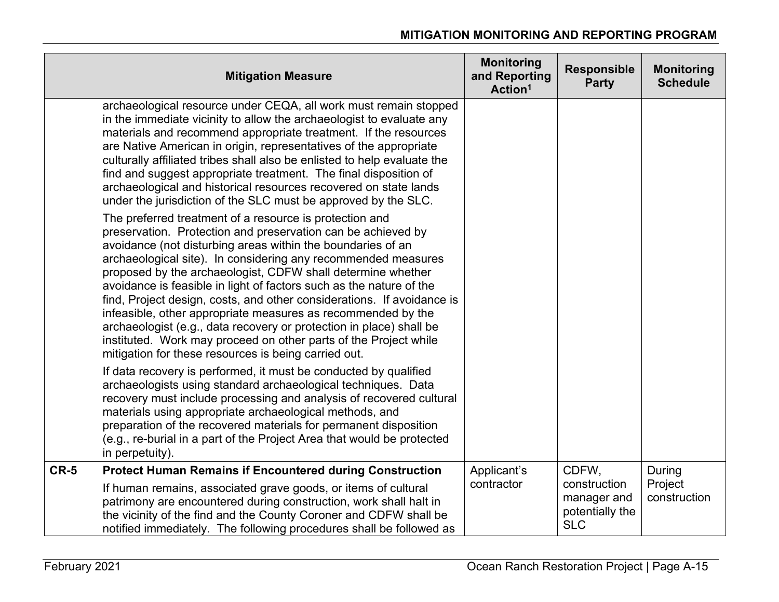| <b>Mitigation Measure</b>                                                                                                                                                                                                                                                                                                                                                                                                                                                                                                                                                                                                                                                                                                                  | <b>Monitoring</b><br>and Reporting<br>Action <sup>1</sup> | <b>Responsible</b><br><b>Party</b>                                    | <b>Monitoring</b><br><b>Schedule</b> |
|--------------------------------------------------------------------------------------------------------------------------------------------------------------------------------------------------------------------------------------------------------------------------------------------------------------------------------------------------------------------------------------------------------------------------------------------------------------------------------------------------------------------------------------------------------------------------------------------------------------------------------------------------------------------------------------------------------------------------------------------|-----------------------------------------------------------|-----------------------------------------------------------------------|--------------------------------------|
| archaeological resource under CEQA, all work must remain stopped<br>in the immediate vicinity to allow the archaeologist to evaluate any<br>materials and recommend appropriate treatment. If the resources<br>are Native American in origin, representatives of the appropriate<br>culturally affiliated tribes shall also be enlisted to help evaluate the<br>find and suggest appropriate treatment. The final disposition of<br>archaeological and historical resources recovered on state lands<br>under the jurisdiction of the SLC must be approved by the SLC.                                                                                                                                                                     |                                                           |                                                                       |                                      |
| The preferred treatment of a resource is protection and<br>preservation. Protection and preservation can be achieved by<br>avoidance (not disturbing areas within the boundaries of an<br>archaeological site). In considering any recommended measures<br>proposed by the archaeologist, CDFW shall determine whether<br>avoidance is feasible in light of factors such as the nature of the<br>find, Project design, costs, and other considerations. If avoidance is<br>infeasible, other appropriate measures as recommended by the<br>archaeologist (e.g., data recovery or protection in place) shall be<br>instituted. Work may proceed on other parts of the Project while<br>mitigation for these resources is being carried out. |                                                           |                                                                       |                                      |
| If data recovery is performed, it must be conducted by qualified<br>archaeologists using standard archaeological techniques. Data<br>recovery must include processing and analysis of recovered cultural<br>materials using appropriate archaeological methods, and<br>preparation of the recovered materials for permanent disposition<br>(e.g., re-burial in a part of the Project Area that would be protected<br>in perpetuity).                                                                                                                                                                                                                                                                                                       |                                                           |                                                                       |                                      |
| $CR-5$<br><b>Protect Human Remains if Encountered during Construction</b><br>If human remains, associated grave goods, or items of cultural<br>patrimony are encountered during construction, work shall halt in<br>the vicinity of the find and the County Coroner and CDFW shall be<br>notified immediately. The following procedures shall be followed as                                                                                                                                                                                                                                                                                                                                                                               | Applicant's<br>contractor                                 | CDFW,<br>construction<br>manager and<br>potentially the<br><b>SLC</b> | During<br>Project<br>construction    |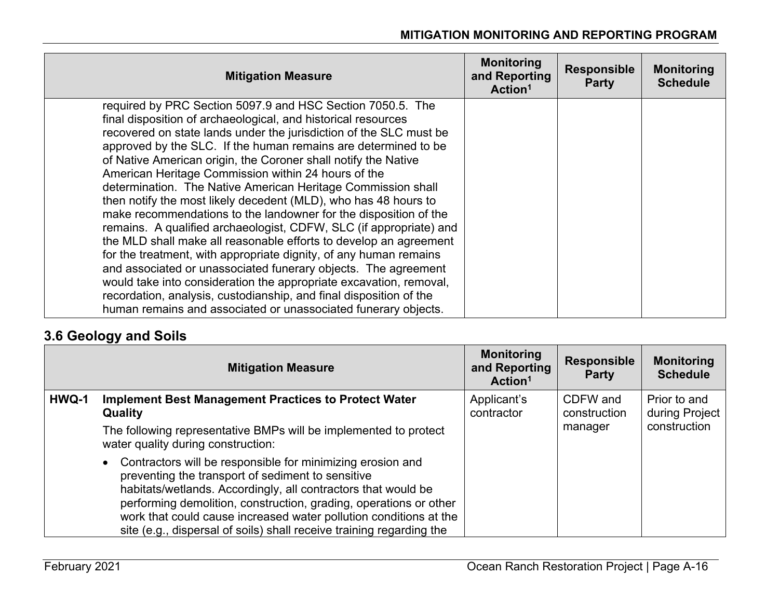| <b>Mitigation Measure</b>                                                                                                                                                                                                                                                                                                                                                                                                                                                                                                                                                                                                                                                                                                                                                                                                                                                                                                                                                                                                                                                                           | <b>Monitoring</b><br>and Reporting<br>Action <sup>1</sup> | <b>Responsible</b><br><b>Party</b> | <b>Monitoring</b><br><b>Schedule</b> |
|-----------------------------------------------------------------------------------------------------------------------------------------------------------------------------------------------------------------------------------------------------------------------------------------------------------------------------------------------------------------------------------------------------------------------------------------------------------------------------------------------------------------------------------------------------------------------------------------------------------------------------------------------------------------------------------------------------------------------------------------------------------------------------------------------------------------------------------------------------------------------------------------------------------------------------------------------------------------------------------------------------------------------------------------------------------------------------------------------------|-----------------------------------------------------------|------------------------------------|--------------------------------------|
| required by PRC Section 5097.9 and HSC Section 7050.5. The<br>final disposition of archaeological, and historical resources<br>recovered on state lands under the jurisdiction of the SLC must be<br>approved by the SLC. If the human remains are determined to be<br>of Native American origin, the Coroner shall notify the Native<br>American Heritage Commission within 24 hours of the<br>determination. The Native American Heritage Commission shall<br>then notify the most likely decedent (MLD), who has 48 hours to<br>make recommendations to the landowner for the disposition of the<br>remains. A qualified archaeologist, CDFW, SLC (if appropriate) and<br>the MLD shall make all reasonable efforts to develop an agreement<br>for the treatment, with appropriate dignity, of any human remains<br>and associated or unassociated funerary objects. The agreement<br>would take into consideration the appropriate excavation, removal,<br>recordation, analysis, custodianship, and final disposition of the<br>human remains and associated or unassociated funerary objects. |                                                           |                                    |                                      |

### **3.6 Geology and Soils**

|       | <b>Mitigation Measure</b>                                                                                                                                                                                                                                                                                                                                                                                       | <b>Monitoring</b><br>and Reporting<br>Action <sup>1</sup> | <b>Responsible</b><br><b>Party</b> | <b>Monitoring</b><br><b>Schedule</b> |
|-------|-----------------------------------------------------------------------------------------------------------------------------------------------------------------------------------------------------------------------------------------------------------------------------------------------------------------------------------------------------------------------------------------------------------------|-----------------------------------------------------------|------------------------------------|--------------------------------------|
| HWQ-1 | <b>Implement Best Management Practices to Protect Water</b><br><b>Quality</b>                                                                                                                                                                                                                                                                                                                                   | Applicant's<br>contractor                                 | CDFW and<br>construction           | Prior to and<br>during Project       |
|       | The following representative BMPs will be implemented to protect<br>water quality during construction:                                                                                                                                                                                                                                                                                                          |                                                           | manager                            | construction                         |
|       | Contractors will be responsible for minimizing erosion and<br>$\bullet$<br>preventing the transport of sediment to sensitive<br>habitats/wetlands. Accordingly, all contractors that would be<br>performing demolition, construction, grading, operations or other<br>work that could cause increased water pollution conditions at the<br>site (e.g., dispersal of soils) shall receive training regarding the |                                                           |                                    |                                      |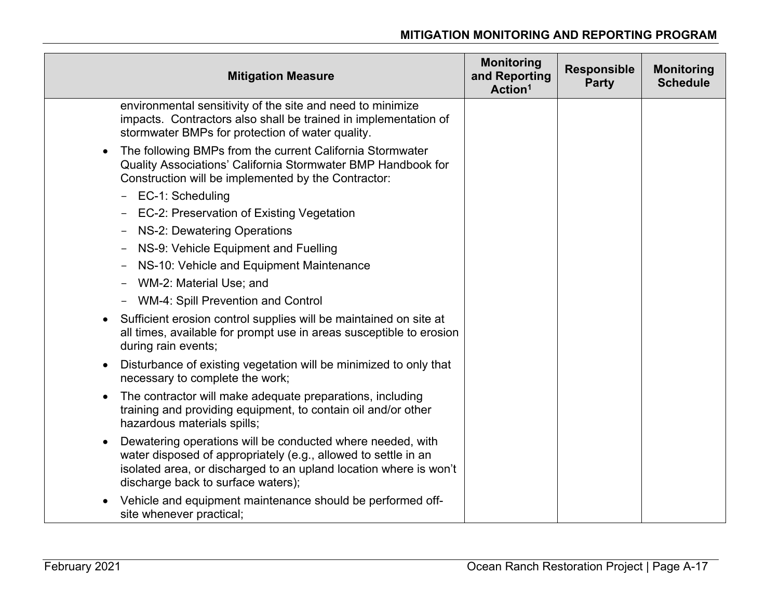| <b>Mitigation Measure</b>                                                                                                                                                                                                                            | <b>Monitoring</b><br>and Reporting<br>Action <sup>1</sup> | <b>Responsible</b><br><b>Party</b> | <b>Monitoring</b><br><b>Schedule</b> |
|------------------------------------------------------------------------------------------------------------------------------------------------------------------------------------------------------------------------------------------------------|-----------------------------------------------------------|------------------------------------|--------------------------------------|
| environmental sensitivity of the site and need to minimize<br>impacts. Contractors also shall be trained in implementation of<br>stormwater BMPs for protection of water quality.                                                                    |                                                           |                                    |                                      |
| The following BMPs from the current California Stormwater<br>$\bullet$<br>Quality Associations' California Stormwater BMP Handbook for<br>Construction will be implemented by the Contractor:                                                        |                                                           |                                    |                                      |
| EC-1: Scheduling<br>$\overline{\phantom{a}}$                                                                                                                                                                                                         |                                                           |                                    |                                      |
| - EC-2: Preservation of Existing Vegetation                                                                                                                                                                                                          |                                                           |                                    |                                      |
| NS-2: Dewatering Operations<br>$\qquad \qquad \blacksquare$                                                                                                                                                                                          |                                                           |                                    |                                      |
| NS-9: Vehicle Equipment and Fuelling<br>$\qquad \qquad \blacksquare$                                                                                                                                                                                 |                                                           |                                    |                                      |
| NS-10: Vehicle and Equipment Maintenance                                                                                                                                                                                                             |                                                           |                                    |                                      |
| - WM-2: Material Use; and                                                                                                                                                                                                                            |                                                           |                                    |                                      |
| <b>WM-4: Spill Prevention and Control</b><br>$-$                                                                                                                                                                                                     |                                                           |                                    |                                      |
| Sufficient erosion control supplies will be maintained on site at<br>all times, available for prompt use in areas susceptible to erosion<br>during rain events;                                                                                      |                                                           |                                    |                                      |
| Disturbance of existing vegetation will be minimized to only that<br>$\bullet$<br>necessary to complete the work;                                                                                                                                    |                                                           |                                    |                                      |
| The contractor will make adequate preparations, including<br>$\bullet$<br>training and providing equipment, to contain oil and/or other<br>hazardous materials spills;                                                                               |                                                           |                                    |                                      |
| Dewatering operations will be conducted where needed, with<br>$\bullet$<br>water disposed of appropriately (e.g., allowed to settle in an<br>isolated area, or discharged to an upland location where is won't<br>discharge back to surface waters); |                                                           |                                    |                                      |
| Vehicle and equipment maintenance should be performed off-<br>site whenever practical;                                                                                                                                                               |                                                           |                                    |                                      |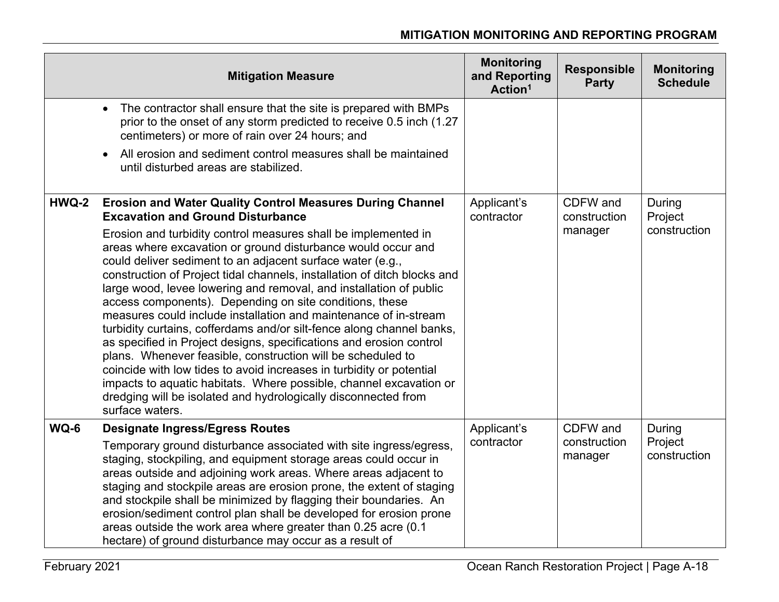|       | <b>Mitigation Measure</b>                                                                                                                                                                                                                                                                                                                                                                                                                                                                                                                                                                                                                                                                                                                                                                                                                                                                                                       | <b>Monitoring</b><br>and Reporting<br>Action <sup>1</sup> | <b>Responsible</b><br><b>Party</b> | <b>Monitoring</b><br><b>Schedule</b> |
|-------|---------------------------------------------------------------------------------------------------------------------------------------------------------------------------------------------------------------------------------------------------------------------------------------------------------------------------------------------------------------------------------------------------------------------------------------------------------------------------------------------------------------------------------------------------------------------------------------------------------------------------------------------------------------------------------------------------------------------------------------------------------------------------------------------------------------------------------------------------------------------------------------------------------------------------------|-----------------------------------------------------------|------------------------------------|--------------------------------------|
|       | The contractor shall ensure that the site is prepared with BMPs<br>$\bullet$<br>prior to the onset of any storm predicted to receive 0.5 inch (1.27<br>centimeters) or more of rain over 24 hours; and                                                                                                                                                                                                                                                                                                                                                                                                                                                                                                                                                                                                                                                                                                                          |                                                           |                                    |                                      |
|       | All erosion and sediment control measures shall be maintained<br>$\bullet$<br>until disturbed areas are stabilized.                                                                                                                                                                                                                                                                                                                                                                                                                                                                                                                                                                                                                                                                                                                                                                                                             |                                                           |                                    |                                      |
| HWQ-2 | <b>Erosion and Water Quality Control Measures During Channel</b><br><b>Excavation and Ground Disturbance</b>                                                                                                                                                                                                                                                                                                                                                                                                                                                                                                                                                                                                                                                                                                                                                                                                                    | Applicant's<br>contractor                                 | CDFW and<br>construction           | During<br>Project                    |
|       | Erosion and turbidity control measures shall be implemented in<br>areas where excavation or ground disturbance would occur and<br>could deliver sediment to an adjacent surface water (e.g.,<br>construction of Project tidal channels, installation of ditch blocks and<br>large wood, levee lowering and removal, and installation of public<br>access components). Depending on site conditions, these<br>measures could include installation and maintenance of in-stream<br>turbidity curtains, cofferdams and/or silt-fence along channel banks,<br>as specified in Project designs, specifications and erosion control<br>plans. Whenever feasible, construction will be scheduled to<br>coincide with low tides to avoid increases in turbidity or potential<br>impacts to aquatic habitats. Where possible, channel excavation or<br>dredging will be isolated and hydrologically disconnected from<br>surface waters. |                                                           | manager                            | construction                         |
| WQ-6  | <b>Designate Ingress/Egress Routes</b>                                                                                                                                                                                                                                                                                                                                                                                                                                                                                                                                                                                                                                                                                                                                                                                                                                                                                          | Applicant's                                               | CDFW and                           | During                               |
|       | Temporary ground disturbance associated with site ingress/egress,<br>staging, stockpiling, and equipment storage areas could occur in<br>areas outside and adjoining work areas. Where areas adjacent to<br>staging and stockpile areas are erosion prone, the extent of staging<br>and stockpile shall be minimized by flagging their boundaries. An<br>erosion/sediment control plan shall be developed for erosion prone<br>areas outside the work area where greater than 0.25 acre (0.1<br>hectare) of ground disturbance may occur as a result of                                                                                                                                                                                                                                                                                                                                                                         | contractor                                                | construction<br>manager            | Project<br>construction              |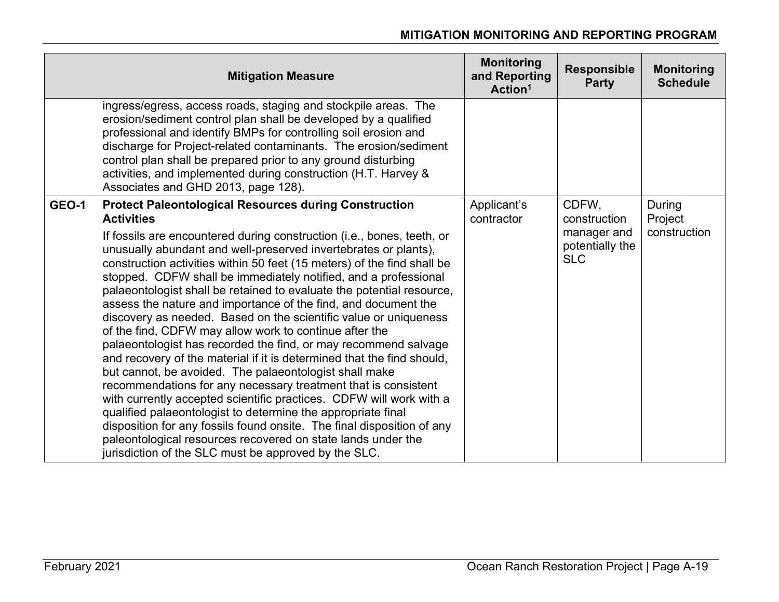| <b>Mitigation Measure</b>                                                                                                                                                                                                                                                                                                                                                                                                                                                                                                                                                                                                                                                                                                                                                                                                                                                                                                                                                                                                                                                                                                                                                                                                       | <b>Monitoring</b><br>and Reporting<br>Action <sup>1</sup> | <b>Responsible</b><br><b>Party</b>                                    | <b>Monitoring</b><br><b>Schedule</b> |
|---------------------------------------------------------------------------------------------------------------------------------------------------------------------------------------------------------------------------------------------------------------------------------------------------------------------------------------------------------------------------------------------------------------------------------------------------------------------------------------------------------------------------------------------------------------------------------------------------------------------------------------------------------------------------------------------------------------------------------------------------------------------------------------------------------------------------------------------------------------------------------------------------------------------------------------------------------------------------------------------------------------------------------------------------------------------------------------------------------------------------------------------------------------------------------------------------------------------------------|-----------------------------------------------------------|-----------------------------------------------------------------------|--------------------------------------|
| ingress/egress, access roads, staging and stockpile areas. The<br>erosion/sediment control plan shall be developed by a qualified<br>professional and identify BMPs for controlling soil erosion and<br>discharge for Project-related contaminants. The erosion/sediment<br>control plan shall be prepared prior to any ground disturbing<br>activities, and implemented during construction (H.T. Harvey &<br>Associates and GHD 2013, page 128).                                                                                                                                                                                                                                                                                                                                                                                                                                                                                                                                                                                                                                                                                                                                                                              |                                                           |                                                                       |                                      |
| <b>GEO-1</b><br><b>Protect Paleontological Resources during Construction</b><br><b>Activities</b><br>If fossils are encountered during construction (i.e., bones, teeth, or<br>unusually abundant and well-preserved invertebrates or plants),<br>construction activities within 50 feet (15 meters) of the find shall be<br>stopped. CDFW shall be immediately notified, and a professional<br>palaeontologist shall be retained to evaluate the potential resource,<br>assess the nature and importance of the find, and document the<br>discovery as needed. Based on the scientific value or uniqueness<br>of the find, CDFW may allow work to continue after the<br>palaeontologist has recorded the find, or may recommend salvage<br>and recovery of the material if it is determined that the find should,<br>but cannot, be avoided. The palaeontologist shall make<br>recommendations for any necessary treatment that is consistent<br>with currently accepted scientific practices. CDFW will work with a<br>qualified palaeontologist to determine the appropriate final<br>disposition for any fossils found onsite. The final disposition of any<br>paleontological resources recovered on state lands under the | Applicant's<br>contractor                                 | CDFW,<br>construction<br>manager and<br>potentially the<br><b>SLC</b> | During<br>Project<br>construction    |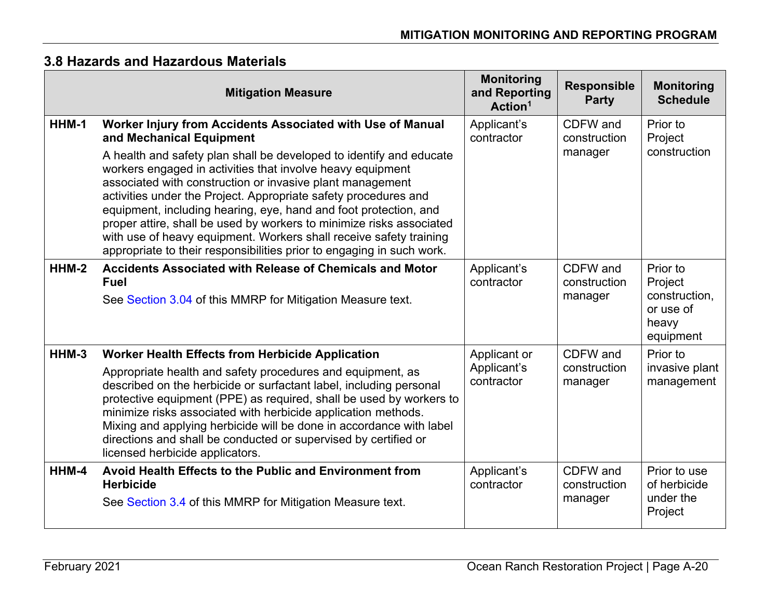|       | <b>Mitigation Measure</b>                                                                                                                                                                                                                                                                                                                                                                                                                                                                                                                                                                                                                              | <b>Monitoring</b><br>and Reporting<br>Action <sup>1</sup> | <b>Responsible</b><br><b>Party</b>  | <b>Monitoring</b><br><b>Schedule</b>                                    |
|-------|--------------------------------------------------------------------------------------------------------------------------------------------------------------------------------------------------------------------------------------------------------------------------------------------------------------------------------------------------------------------------------------------------------------------------------------------------------------------------------------------------------------------------------------------------------------------------------------------------------------------------------------------------------|-----------------------------------------------------------|-------------------------------------|-------------------------------------------------------------------------|
| HHM-1 | Worker Injury from Accidents Associated with Use of Manual<br>and Mechanical Equipment<br>A health and safety plan shall be developed to identify and educate<br>workers engaged in activities that involve heavy equipment<br>associated with construction or invasive plant management<br>activities under the Project. Appropriate safety procedures and<br>equipment, including hearing, eye, hand and foot protection, and<br>proper attire, shall be used by workers to minimize risks associated<br>with use of heavy equipment. Workers shall receive safety training<br>appropriate to their responsibilities prior to engaging in such work. | Applicant's<br>contractor                                 | CDFW and<br>construction<br>manager | Prior to<br>Project<br>construction                                     |
| HHM-2 | <b>Accidents Associated with Release of Chemicals and Motor</b><br><b>Fuel</b><br>See Section 3.04 of this MMRP for Mitigation Measure text.                                                                                                                                                                                                                                                                                                                                                                                                                                                                                                           | Applicant's<br>contractor                                 | CDFW and<br>construction<br>manager | Prior to<br>Project<br>construction,<br>or use of<br>heavy<br>equipment |
| HHM-3 | <b>Worker Health Effects from Herbicide Application</b><br>Appropriate health and safety procedures and equipment, as<br>described on the herbicide or surfactant label, including personal<br>protective equipment (PPE) as required, shall be used by workers to<br>minimize risks associated with herbicide application methods.<br>Mixing and applying herbicide will be done in accordance with label<br>directions and shall be conducted or supervised by certified or<br>licensed herbicide applicators.                                                                                                                                       | Applicant or<br>Applicant's<br>contractor                 | CDFW and<br>construction<br>manager | Prior to<br>invasive plant<br>management                                |
| HHM-4 | Avoid Health Effects to the Public and Environment from<br><b>Herbicide</b><br>See Section 3.4 of this MMRP for Mitigation Measure text.                                                                                                                                                                                                                                                                                                                                                                                                                                                                                                               | Applicant's<br>contractor                                 | CDFW and<br>construction<br>manager | Prior to use<br>of herbicide<br>under the<br>Project                    |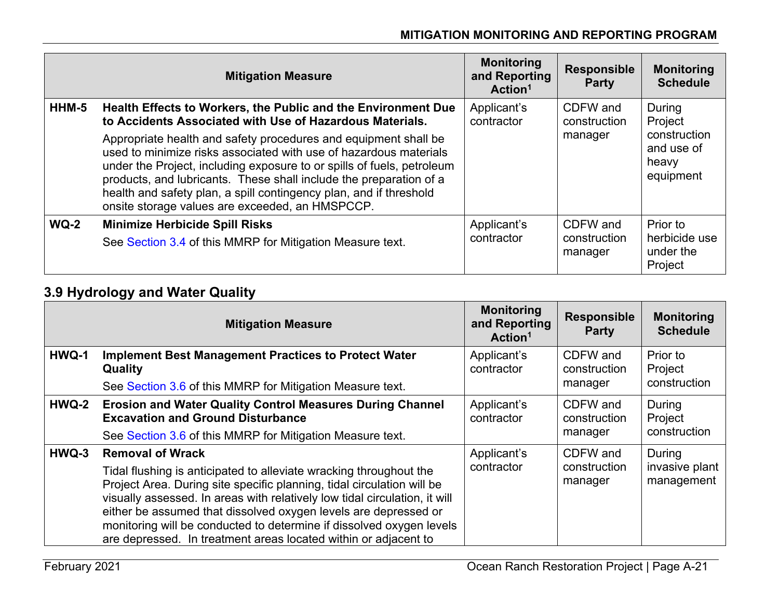|        | <b>Mitigation Measure</b>                                                                                                                                                                                                                                                                                                                                                                                     | <b>Monitoring</b><br>and Reporting<br>Action <sup>1</sup> | <b>Responsible</b><br><b>Party</b> | <b>Monitoring</b><br><b>Schedule</b>             |
|--------|---------------------------------------------------------------------------------------------------------------------------------------------------------------------------------------------------------------------------------------------------------------------------------------------------------------------------------------------------------------------------------------------------------------|-----------------------------------------------------------|------------------------------------|--------------------------------------------------|
| HHM-5  | Health Effects to Workers, the Public and the Environment Due<br>to Accidents Associated with Use of Hazardous Materials.                                                                                                                                                                                                                                                                                     | Applicant's<br>contractor                                 | CDFW and<br>construction           | During<br>Project                                |
|        | Appropriate health and safety procedures and equipment shall be<br>used to minimize risks associated with use of hazardous materials<br>under the Project, including exposure to or spills of fuels, petroleum<br>products, and lubricants. These shall include the preparation of a<br>health and safety plan, a spill contingency plan, and if threshold<br>onsite storage values are exceeded, an HMSPCCP. |                                                           | manager                            | construction<br>and use of<br>heavy<br>equipment |
| $WQ-2$ | <b>Minimize Herbicide Spill Risks</b><br>See Section 3.4 of this MMRP for Mitigation Measure text.                                                                                                                                                                                                                                                                                                            | Applicant's<br>contractor                                 | CDFW and<br>construction           | Prior to<br>herbicide use                        |
|        |                                                                                                                                                                                                                                                                                                                                                                                                               |                                                           | manager                            | under the<br>Project                             |

### **3.9 Hydrology and Water Quality**

|       | <b>Mitigation Measure</b>                                                                                                                                                                                                                                                                                                                                                                                                                                           | <b>Monitoring</b><br>and Reporting<br>Action <sup>1</sup> | <b>Responsible</b><br><b>Party</b>  | <b>Monitoring</b><br><b>Schedule</b>   |
|-------|---------------------------------------------------------------------------------------------------------------------------------------------------------------------------------------------------------------------------------------------------------------------------------------------------------------------------------------------------------------------------------------------------------------------------------------------------------------------|-----------------------------------------------------------|-------------------------------------|----------------------------------------|
| HWQ-1 | <b>Implement Best Management Practices to Protect Water</b><br>Quality<br>See Section 3.6 of this MMRP for Mitigation Measure text.                                                                                                                                                                                                                                                                                                                                 | Applicant's<br>contractor                                 | CDFW and<br>construction<br>manager | Prior to<br>Project<br>construction    |
| HWQ-2 | <b>Erosion and Water Quality Control Measures During Channel</b><br><b>Excavation and Ground Disturbance</b><br>See Section 3.6 of this MMRP for Mitigation Measure text.                                                                                                                                                                                                                                                                                           | Applicant's<br>contractor                                 | CDFW and<br>construction<br>manager | During<br>Project<br>construction      |
| HWQ-3 | <b>Removal of Wrack</b><br>Tidal flushing is anticipated to alleviate wracking throughout the<br>Project Area. During site specific planning, tidal circulation will be<br>visually assessed. In areas with relatively low tidal circulation, it will<br>either be assumed that dissolved oxygen levels are depressed or<br>monitoring will be conducted to determine if dissolved oxygen levels<br>are depressed. In treatment areas located within or adjacent to | Applicant's<br>contractor                                 | CDFW and<br>construction<br>manager | During<br>invasive plant<br>management |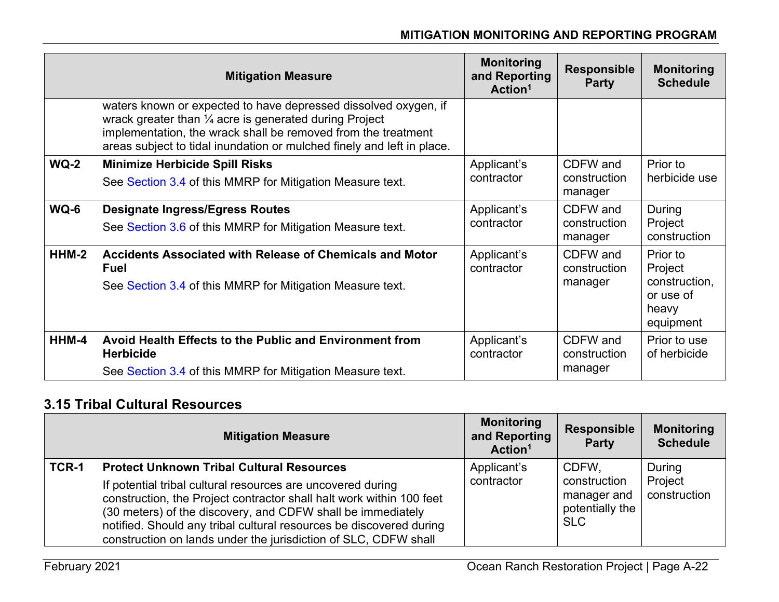|         | <b>Mitigation Measure</b>                                                                                                                                                                                                                                                       | <b>Monitoring</b><br>and Reporting<br>Action <sup>1</sup> | <b>Responsible</b><br><b>Party</b>  | <b>Monitoring</b><br><b>Schedule</b>                                    |
|---------|---------------------------------------------------------------------------------------------------------------------------------------------------------------------------------------------------------------------------------------------------------------------------------|-----------------------------------------------------------|-------------------------------------|-------------------------------------------------------------------------|
|         | waters known or expected to have depressed dissolved oxygen, if<br>wrack greater than $\frac{1}{4}$ acre is generated during Project<br>implementation, the wrack shall be removed from the treatment<br>areas subject to tidal inundation or mulched finely and left in place. |                                                           |                                     |                                                                         |
| $WQ-2$  | <b>Minimize Herbicide Spill Risks</b><br>See Section 3.4 of this MMRP for Mitigation Measure text.                                                                                                                                                                              | Applicant's<br>contractor                                 | CDFW and<br>construction<br>manager | Prior to<br>herbicide use                                               |
| WQ-6    | <b>Designate Ingress/Egress Routes</b><br>See Section 3.6 of this MMRP for Mitigation Measure text.                                                                                                                                                                             | Applicant's<br>contractor                                 | CDFW and<br>construction<br>manager | During<br>Project<br>construction                                       |
| $HHM-2$ | Accidents Associated with Release of Chemicals and Motor<br><b>Fuel</b><br>See Section 3.4 of this MMRP for Mitigation Measure text.                                                                                                                                            | Applicant's<br>contractor                                 | CDFW and<br>construction<br>manager | Prior to<br>Project<br>construction,<br>or use of<br>heavy<br>equipment |
| HHM-4   | Avoid Health Effects to the Public and Environment from<br><b>Herbicide</b>                                                                                                                                                                                                     | Applicant's<br>contractor                                 | CDFW and<br>construction            | Prior to use<br>of herbicide                                            |
|         | See Section 3.4 of this MMRP for Mitigation Measure text.                                                                                                                                                                                                                       |                                                           | manager                             |                                                                         |

### **3.15 Tribal Cultural Resources**

|       | <b>Mitigation Measure</b>                                                                                                                                                                                                                                                                                                                                                                        | <b>Monitoring</b><br>and Reporting<br>Action <sup>1</sup> | <b>Responsible</b><br><b>Party</b>                                    | <b>Monitoring</b><br><b>Schedule</b> |
|-------|--------------------------------------------------------------------------------------------------------------------------------------------------------------------------------------------------------------------------------------------------------------------------------------------------------------------------------------------------------------------------------------------------|-----------------------------------------------------------|-----------------------------------------------------------------------|--------------------------------------|
| TCR-1 | <b>Protect Unknown Tribal Cultural Resources</b><br>If potential tribal cultural resources are uncovered during<br>construction, the Project contractor shall halt work within 100 feet<br>(30 meters) of the discovery, and CDFW shall be immediately<br>notified. Should any tribal cultural resources be discovered during<br>construction on lands under the jurisdiction of SLC, CDFW shall | Applicant's<br>contractor                                 | CDFW.<br>construction<br>manager and<br>potentially the<br><b>SLC</b> | During<br>Project<br>construction    |